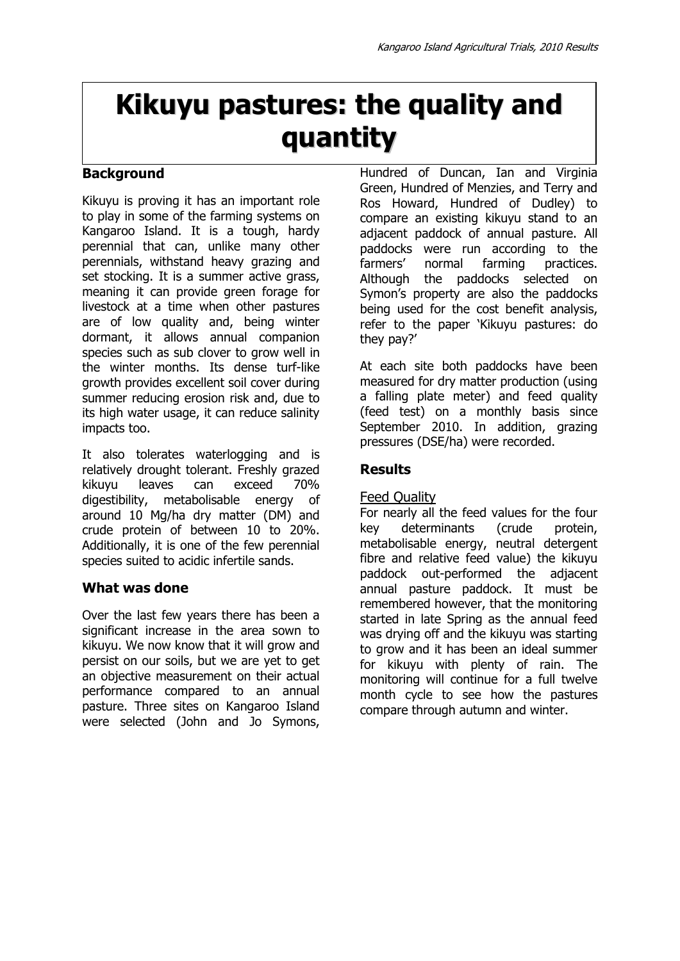# **Kikuyu pastures: the quality and quantity**

# **Background**

Kikuyu is proving it has an important role to play in some of the farming systems on Kangaroo Island. It is a tough, hardy perennial that can, unlike many other perennials, withstand heavy grazing and set stocking. It is a summer active grass, meaning it can provide green forage for livestock at a time when other pastures are of low quality and, being winter dormant, it allows annual companion species such as sub clover to grow well in the winter months. Its dense turf-like growth provides excellent soil cover during summer reducing erosion risk and, due to its high water usage, it can reduce salinity impacts too.

It also tolerates waterlogging and is relatively drought tolerant. Freshly grazed kikuyu leaves can exceed 70% digestibility, metabolisable energy of around 10 Mg/ha dry matter (DM) and crude protein of between 10 to 20%. Additionally, it is one of the few perennial species suited to acidic infertile sands.

## **What was done**

Over the last few years there has been a significant increase in the area sown to kikuyu. We now know that it will grow and persist on our soils, but we are yet to get an objective measurement on their actual performance compared to an annual pasture. Three sites on Kangaroo Island were selected (John and Jo Symons,

Hundred of Duncan, Ian and Virginia Green, Hundred of Menzies, and Terry and Ros Howard, Hundred of Dudley) to compare an existing kikuyu stand to an adjacent paddock of annual pasture. All paddocks were run according to the farmers' normal farming practices. Although the paddocks selected on Symon's property are also the paddocks being used for the cost benefit analysis, refer to the paper 'Kikuyu pastures: do they pay?'

At each site both paddocks have been measured for dry matter production (using a falling plate meter) and feed quality (feed test) on a monthly basis since September 2010. In addition, grazing pressures (DSE/ha) were recorded.

## **Results**

## Feed Quality

For nearly all the feed values for the four key determinants (crude protein, metabolisable energy, neutral detergent fibre and relative feed value) the kikuyu paddock out-performed the adjacent annual pasture paddock. It must be remembered however, that the monitoring started in late Spring as the annual feed was drying off and the kikuyu was starting to grow and it has been an ideal summer for kikuyu with plenty of rain. The monitoring will continue for a full twelve month cycle to see how the pastures compare through autumn and winter.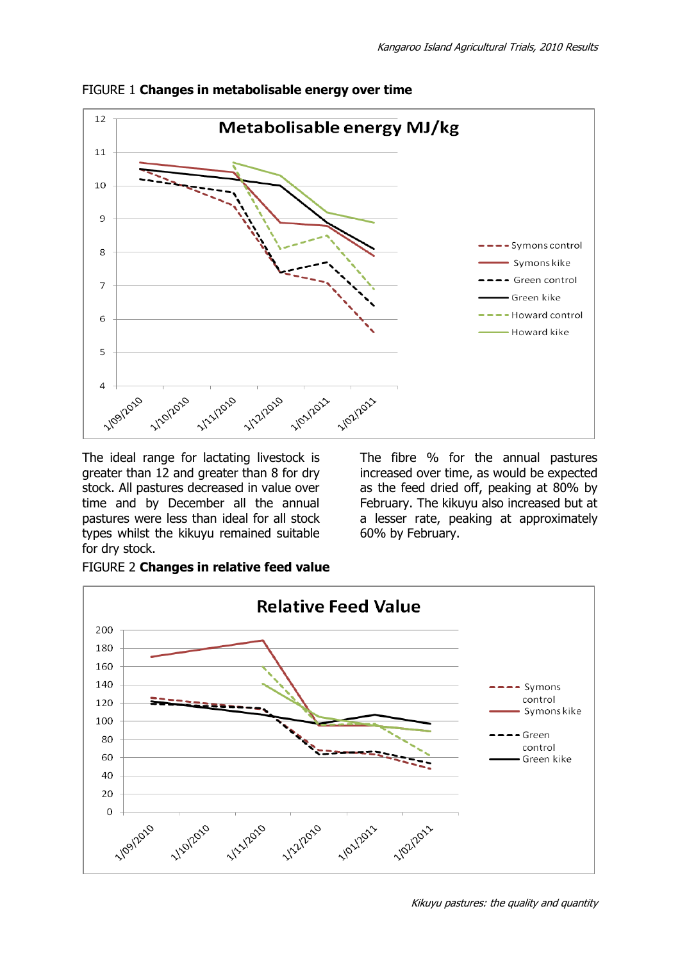

FIGURE 1 **Changes in metabolisable energy over time** 

The ideal range for lactating livestock is greater than 12 and greater than 8 for dry stock. All pastures decreased in value over time and by December all the annual pastures were less than ideal for all stock types whilst the kikuyu remained suitable for dry stock.

The fibre % for the annual pastures increased over time, as would be expected as the feed dried off, peaking at 80% by February. The kikuyu also increased but at a lesser rate, peaking at approximately 60% by February.



FIGURE 2 **Changes in relative feed value** 

Kikuyu pastures: the quality and quantity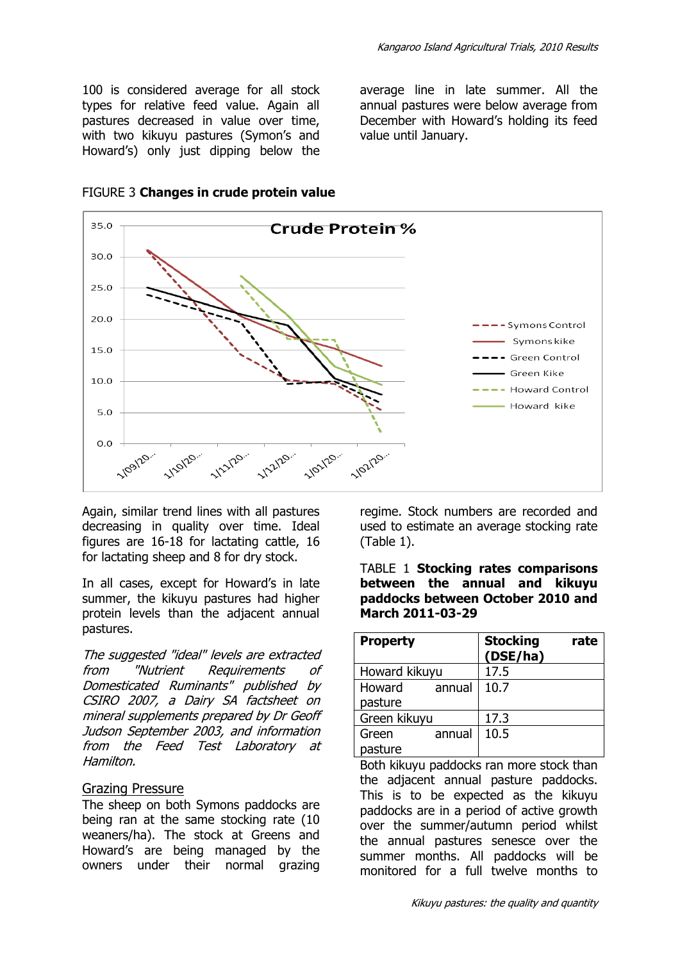100 is considered average for all stock types for relative feed value. Again all pastures decreased in value over time, with two kikuyu pastures (Symon's and Howard's) only just dipping below the average line in late summer. All the annual pastures were below average from December with Howard's holding its feed value until January.



FIGURE 3 **Changes in crude protein value** 

Again, similar trend lines with all pastures decreasing in quality over time. Ideal figures are 16-18 for lactating cattle, 16 for lactating sheep and 8 for dry stock.

In all cases, except for Howard's in late summer, the kikuyu pastures had higher protein levels than the adjacent annual pastures.

The suggested "ideal" levels are extracted from "Nutrient Requirements of Domesticated Ruminants" published by CSIRO 2007, a Dairy SA factsheet on mineral supplements prepared by Dr Geoff Judson September 2003, and information from the Feed Test Laboratory at Hamilton.

#### Grazing Pressure

The sheep on both Symons paddocks are being ran at the same stocking rate (10 weaners/ha). The stock at Greens and Howard's are being managed by the owners under their normal grazing

regime. Stock numbers are recorded and used to estimate an average stocking rate (Table 1).

#### TABLE 1 **Stocking rates comparisons between the annual and kikuyu paddocks between October 2010 and March 2011-03-29**

| <b>Property</b>  | <b>Stocking</b><br>(DSE/ha) | rate |
|------------------|-----------------------------|------|
| Howard kikuyu    | 17.5                        |      |
| Howard<br>annual | 10.7                        |      |
| pasture          |                             |      |
| Green kikuyu     | 17.3                        |      |
| annual<br>Green  | 10.5                        |      |
| pasture          |                             |      |

Both kikuyu paddocks ran more stock than the adjacent annual pasture paddocks. This is to be expected as the kikuyu paddocks are in a period of active growth over the summer/autumn period whilst the annual pastures senesce over the summer months. All paddocks will be monitored for a full twelve months to